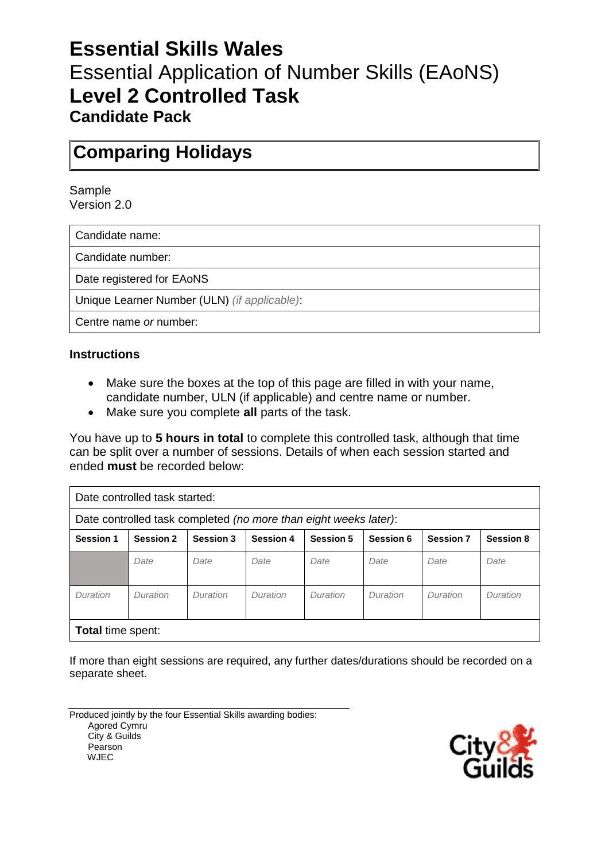# **Essential Skills Wales** Essential Application of Number Skills (EAoNS) **Level 2 Controlled Task Candidate Pack**

## **Comparing Holidays**

Sample Version 2.0

Candidate name:

Candidate number:

Date registered for EAoNS

Unique Learner Number (ULN) *(if applicable)*:

Centre name *or* number:

#### **Instructions**

- Make sure the boxes at the top of this page are filled in with your name, candidate number, ULN (if applicable) and centre name or number.
- Make sure you complete **all** parts of the task.

You have up to **5 hours in total** to complete this controlled task, although that time can be split over a number of sessions. Details of when each session started and ended **must** be recorded below:

| Date controlled task started:                                    |                  |                  |                  |                  |           |                  |                  |
|------------------------------------------------------------------|------------------|------------------|------------------|------------------|-----------|------------------|------------------|
| Date controlled task completed (no more than eight weeks later): |                  |                  |                  |                  |           |                  |                  |
| <b>Session 1</b>                                                 | <b>Session 2</b> | <b>Session 3</b> | <b>Session 4</b> | <b>Session 5</b> | Session 6 | <b>Session 7</b> | <b>Session 8</b> |
|                                                                  | Date             | Date             | Date             | Date             | Date      | Date             | Date             |
| Duration                                                         | Duration         | Duration         | Duration         | Duration         | Duration  | Duration         | Duration         |
| <b>Total time spent:</b>                                         |                  |                  |                  |                  |           |                  |                  |

If more than eight sessions are required, any further dates/durations should be recorded on a separate sheet.

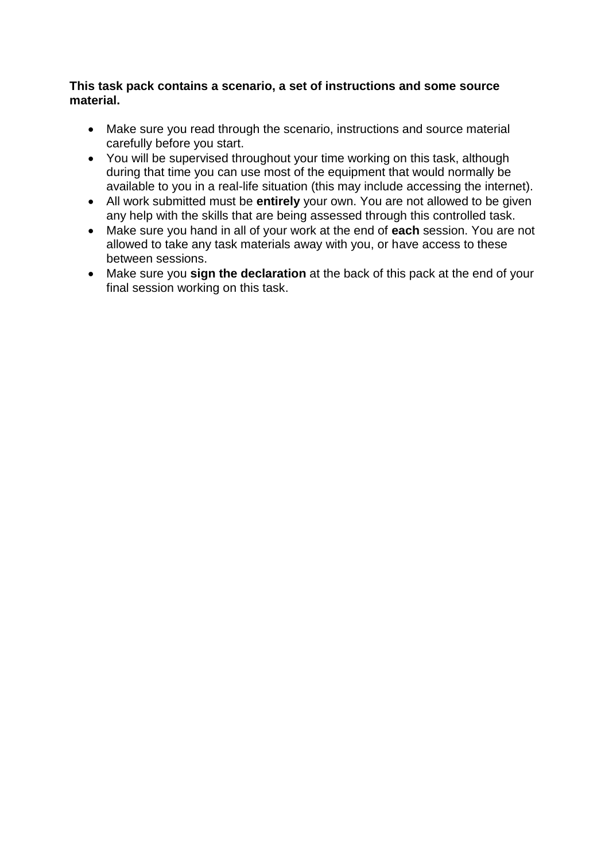#### **This task pack contains a scenario, a set of instructions and some source material.**

- Make sure you read through the scenario, instructions and source material carefully before you start.
- You will be supervised throughout your time working on this task, although during that time you can use most of the equipment that would normally be available to you in a real-life situation (this may include accessing the internet).
- All work submitted must be **entirely** your own. You are not allowed to be given any help with the skills that are being assessed through this controlled task.
- Make sure you hand in all of your work at the end of **each** session. You are not allowed to take any task materials away with you, or have access to these between sessions.
- Make sure you **sign the declaration** at the back of this pack at the end of your final session working on this task.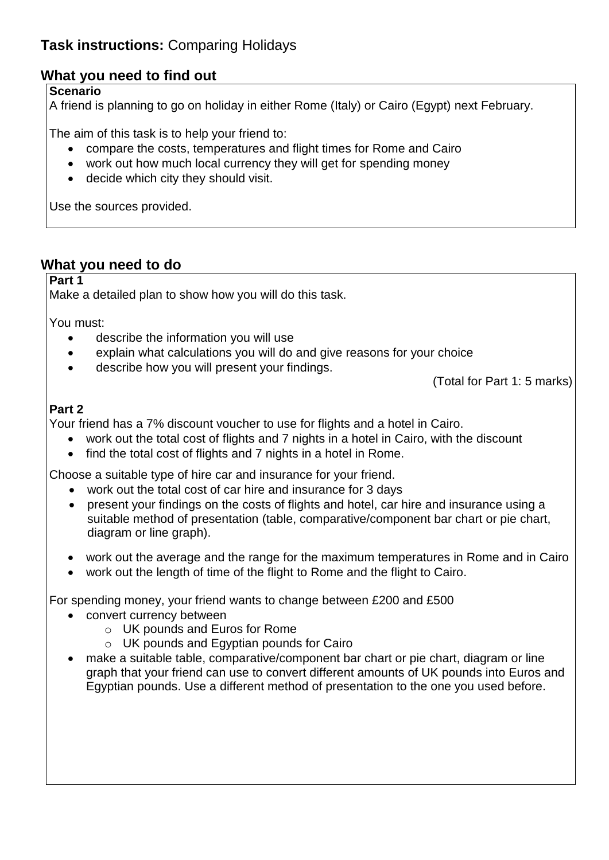## **Task instructions:** Comparing Holidays

## **What you need to find out**

#### **Scenario**

A friend is planning to go on holiday in either Rome (Italy) or Cairo (Egypt) next February.

The aim of this task is to help your friend to:

- compare the costs, temperatures and flight times for Rome and Cairo
- work out how much local currency they will get for spending money
- decide which city they should visit.

Use the sources provided.

## **What you need to do**

**Part 1**

Make a detailed plan to show how you will do this task.

You must:

- describe the information you will use
- explain what calculations you will do and give reasons for your choice
- describe how you will present your findings.

(Total for Part 1: 5 marks)

### **Part 2**

Your friend has a 7% discount voucher to use for flights and a hotel in Cairo.

- work out the total cost of flights and 7 nights in a hotel in Cairo, with the discount
- find the total cost of flights and 7 nights in a hotel in Rome.

Choose a suitable type of hire car and insurance for your friend.

- work out the total cost of car hire and insurance for 3 days
- present your findings on the costs of flights and hotel, car hire and insurance using a suitable method of presentation (table, comparative/component bar chart or pie chart, diagram or line graph).
- work out the average and the range for the maximum temperatures in Rome and in Cairo
- work out the length of time of the flight to Rome and the flight to Cairo.

For spending money, your friend wants to change between £200 and £500

- convert currency between
	- o UK pounds and Euros for Rome
	- o UK pounds and Egyptian pounds for Cairo
- make a suitable table, comparative/component bar chart or pie chart, diagram or line graph that your friend can use to convert different amounts of UK pounds into Euros and Egyptian pounds. Use a different method of presentation to the one you used before.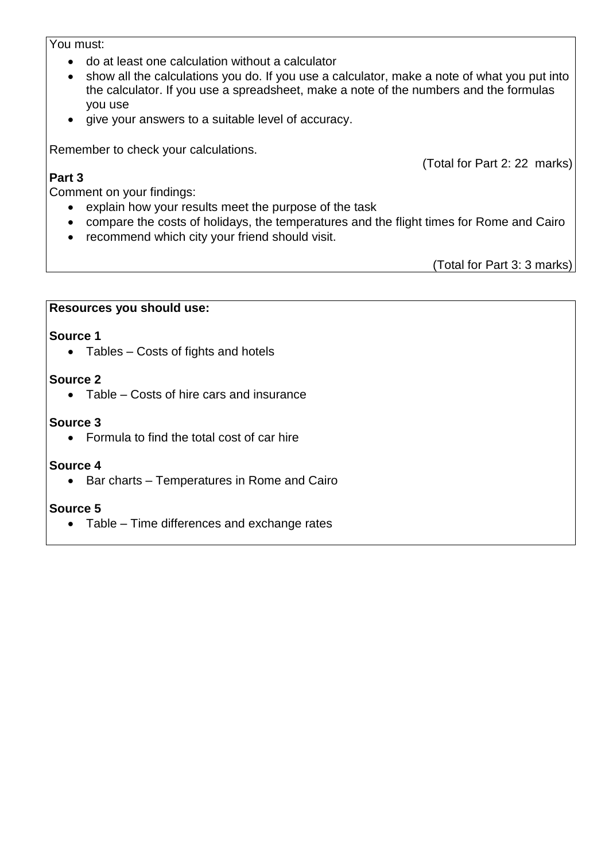#### You must:

- do at least one calculation without a calculator
- show all the calculations you do. If you use a calculator, make a note of what you put into the calculator. If you use a spreadsheet, make a note of the numbers and the formulas you use
- give your answers to a suitable level of accuracy.

Remember to check your calculations.

#### **Part 3**

Comment on your findings:

- explain how your results meet the purpose of the task
- compare the costs of holidays, the temperatures and the flight times for Rome and Cairo
- recommend which city your friend should visit.

(Total for Part 3: 3 marks)

(Total for Part 2: 22 marks)

#### **Resources you should use:**

#### **Source 1**

• Tables – Costs of fights and hotels

#### **Source 2**

• Table – Costs of hire cars and insurance

#### **Source 3**

• Formula to find the total cost of car hire

#### **Source 4**

• Bar charts – Temperatures in Rome and Cairo

#### **Source 5**

• Table – Time differences and exchange rates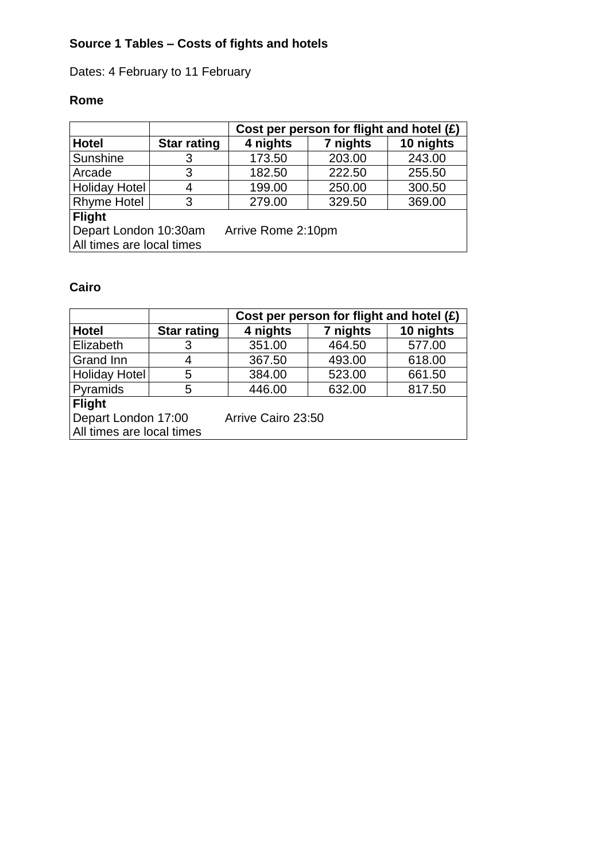## **Source 1 Tables – Costs of fights and hotels**

## Dates: 4 February to 11 February

## **Rome**

|                                                                          |                    | Cost per person for flight and hotel $(E)$ |          |           |
|--------------------------------------------------------------------------|--------------------|--------------------------------------------|----------|-----------|
| <b>Hotel</b>                                                             | <b>Star rating</b> | 4 nights                                   | 7 nights | 10 nights |
| Sunshine                                                                 | 3                  | 173.50                                     | 203.00   | 243.00    |
| Arcade                                                                   | 3                  | 182.50                                     | 222.50   | 255.50    |
| <b>Holiday Hotel</b>                                                     | 4                  | 199.00                                     | 250.00   | 300.50    |
| <b>Rhyme Hotel</b>                                                       | 3                  | 279.00                                     | 329.50   | 369.00    |
| <b>Flight</b>                                                            |                    |                                            |          |           |
| Depart London 10:30am<br>Arrive Rome 2:10pm<br>All times are local times |                    |                                            |          |           |

## **Cairo**

|                           |                    | Cost per person for flight and hotel $(E)$ |          |           |
|---------------------------|--------------------|--------------------------------------------|----------|-----------|
| <b>Hotel</b>              | <b>Star rating</b> | 4 nights                                   | 7 nights | 10 nights |
| Elizabeth                 | 3                  | 351.00                                     | 464.50   | 577.00    |
| Grand Inn                 | 4                  | 367.50                                     | 493.00   | 618.00    |
| <b>Holiday Hotel</b>      | 5                  | 384.00                                     | 523.00   | 661.50    |
| Pyramids                  | 5                  | 446.00                                     | 632.00   | 817.50    |
| <b>Flight</b>             |                    |                                            |          |           |
| Depart London 17:00       |                    | Arrive Cairo 23:50                         |          |           |
| All times are local times |                    |                                            |          |           |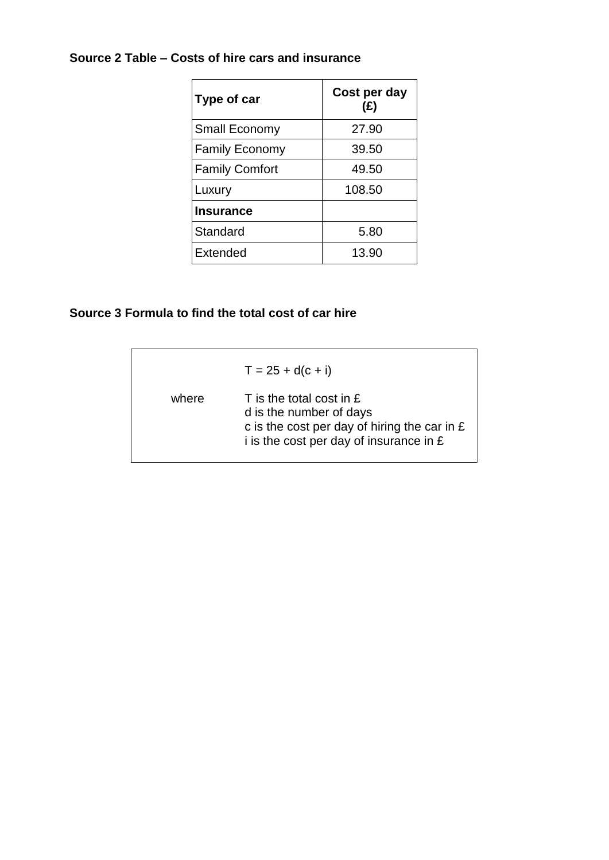### **Source 2 Table – Costs of hire cars and insurance**

| Type of car           | Cost per day<br>(E) |
|-----------------------|---------------------|
| <b>Small Economy</b>  | 27.90               |
| <b>Family Economy</b> | 39.50               |
| <b>Family Comfort</b> | 49.50               |
| Luxury                | 108.50              |
| <b>Insurance</b>      |                     |
| Standard              | 5.80                |
| Extended              | 13.90               |

### **Source 3 Formula to find the total cost of car hire**

|       | $T = 25 + d(c + i)$                                                                                                                                   |
|-------|-------------------------------------------------------------------------------------------------------------------------------------------------------|
| where | $\top$ is the total cost in £<br>d is the number of days<br>c is the cost per day of hiring the car in $E$<br>i is the cost per day of insurance in £ |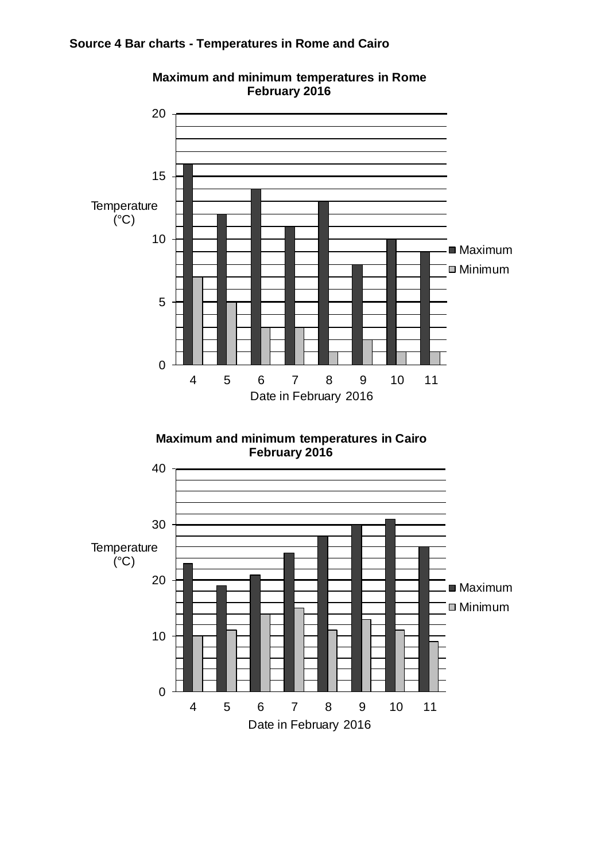#### **Source 4 Bar charts - Temperatures in Rome and Cairo**



**Maximum and minimum temperatures in Rome February 2016**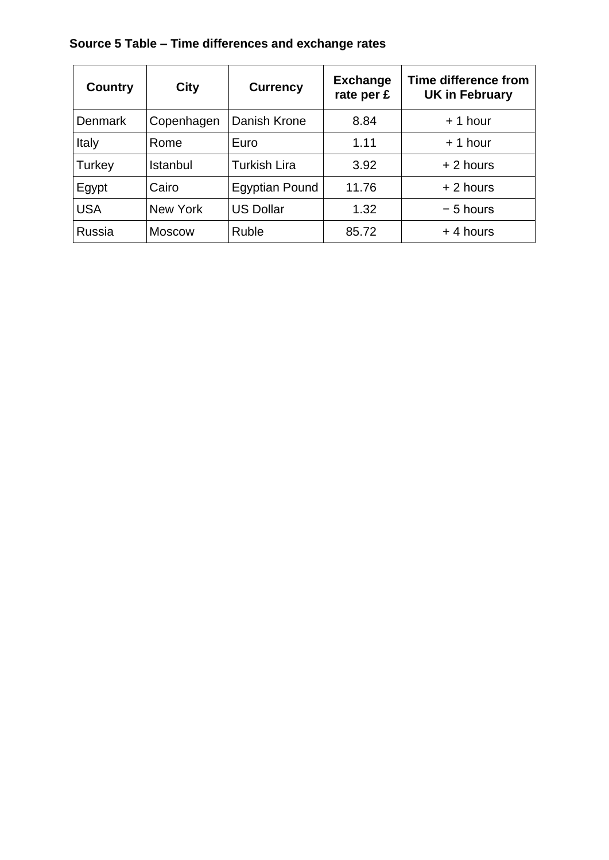## **Source 5 Table – Time differences and exchange rates**

| <b>Country</b> | <b>City</b>   | <b>Currency</b>       | <b>Exchange</b><br>rate per £ | <b>Time difference from</b><br><b>UK in February</b> |
|----------------|---------------|-----------------------|-------------------------------|------------------------------------------------------|
| <b>Denmark</b> | Copenhagen    | Danish Krone          | 8.84                          | $+1$ hour                                            |
| Italy          | Rome          | Euro                  | 1.11                          | $+1$ hour                                            |
| Turkey         | Istanbul      | <b>Turkish Lira</b>   | 3.92                          | $+2$ hours                                           |
| Egypt          | Cairo         | <b>Egyptian Pound</b> | 11.76                         | $+2$ hours                                           |
| <b>USA</b>     | New York      | <b>US Dollar</b>      | 1.32                          | $-5$ hours                                           |
| <b>Russia</b>  | <b>Moscow</b> | <b>Ruble</b>          | 85.72                         | $+4$ hours                                           |